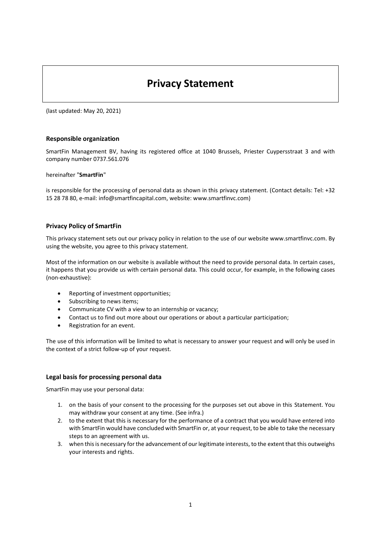# **Privacy Statement**

(last updated: May 20, 2021)

## **Responsible organization**

SmartFin Management BV, having its registered office at 1040 Brussels, Priester Cuypersstraat 3 and with company number 0737.561.076

hereinafter "**SmartFin**"

is responsible for the processing of personal data as shown in this privacy statement. (Contact details: Tel: +32 15 28 78 80, e-mail: info@smartfincapital.com, website: www.smartfinvc.com)

## **Privacy Policy of SmartFin**

This privacy statement sets out our privacy policy in relation to the use of our website www.smartfinvc.com. By using the website, you agree to this privacy statement.

Most of the information on our website is available without the need to provide personal data. In certain cases, it happens that you provide us with certain personal data. This could occur, for example, in the following cases (non-exhaustive):

- Reporting of investment opportunities;
- Subscribing to news items;
- Communicate CV with a view to an internship or vacancy;
- Contact us to find out more about our operations or about a particular participation;
- Registration for an event.

The use of this information will be limited to what is necessary to answer your request and will only be used in the context of a strict follow-up of your request.

## **Legal basis for processing personal data**

SmartFin may use your personal data:

- 1. on the basis of your consent to the processing for the purposes set out above in this Statement. You may withdraw your consent at any time. (See infra.)
- 2. to the extent that this is necessary for the performance of a contract that you would have entered into with SmartFin would have concluded with SmartFin or, at your request, to be able to take the necessary steps to an agreement with us.
- 3. when this is necessary for the advancement of our legitimate interests, to the extent that this outweighs your interests and rights.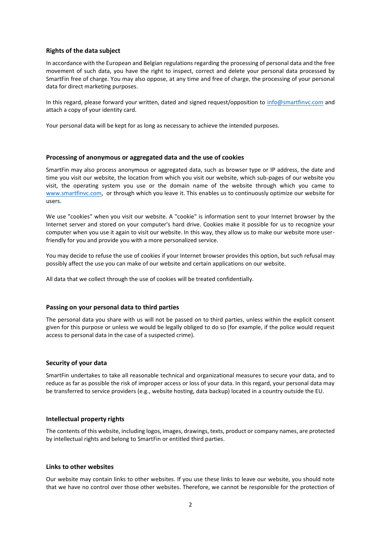#### **Rights of the data subject**

In accordance with the European and Belgian regulations regarding the processing of personal data and the free movement of such data, you have the right to inspect, correct and delete your personal data processed by SmartFin free of charge. You may also oppose, at any time and free of charge, the processing of your personal data for direct marketing purposes.

In this regard, please forward your written, dated and signed request/opposition to [info@smartfinvc.com](mailto:info@smartfinvc.com) and attach a copy of your identity card.

Your personal data will be kept for as long as necessary to achieve the intended purposes.

#### **Processing of anonymous or aggregated data and the use of cookies**

SmartFin may also process anonymous or aggregated data, such as browser type or IP address, the date and time you visit our website, the location from which you visit our website, which sub-pages of our website you visit, the operating system you use or the domain name of the website through which you came to [www.smartfinvc.com,](http://www.smartfinvc.com/) or through which you leave it. This enables us to continuously optimize our website for users.

We use "cookies" when you visit our website. A "cookie" is information sent to your Internet browser by the Internet server and stored on your computer's hard drive. Cookies make it possible for us to recognize your computer when you use it again to visit our website. In this way, they allow us to make our website more userfriendly for you and provide you with a more personalized service.

You may decide to refuse the use of cookies if your Internet browser provides this option, but such refusal may possibly affect the use you can make of our website and certain applications on our website.

All data that we collect through the use of cookies will be treated confidentially.

## **Passing on your personal data to third parties**

The personal data you share with us will not be passed on to third parties, unless within the explicit consent given for this purpose or unless we would be legally obliged to do so (for example, if the police would request access to personal data in the case of a suspected crime).

## **Security of your data**

SmartFin undertakes to take all reasonable technical and organizational measures to secure your data, and to reduce as far as possible the risk of improper access or loss of your data. In this regard, your personal data may be transferred to service providers (e.g., website hosting, data backup) located in a country outside the EU.

## **Intellectual property rights**

The contents of this website, including logos, images, drawings, texts, product or company names, are protected by intellectual rights and belong to SmartFin or entitled third parties.

#### **Links to other websites**

Our website may contain links to other websites. If you use these links to leave our website, you should note that we have no control over those other websites. Therefore, we cannot be responsible for the protection of